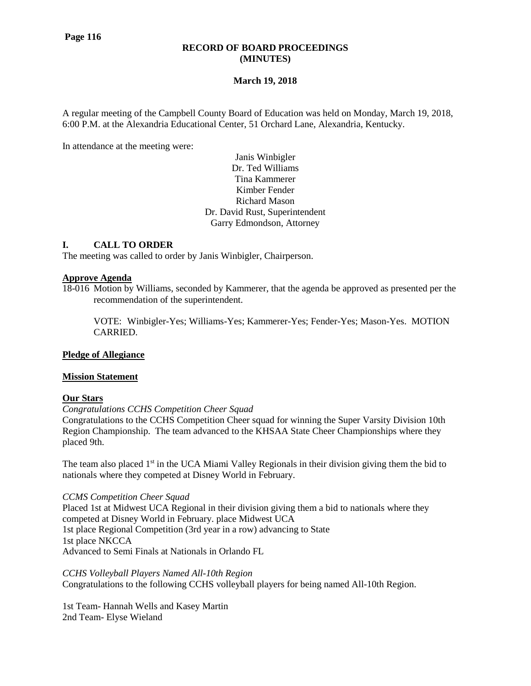### **RECORD OF BOARD PROCEEDINGS (MINUTES)**

## **March 19, 2018**

A regular meeting of the Campbell County Board of Education was held on Monday, March 19, 2018, 6:00 P.M. at the Alexandria Educational Center, 51 Orchard Lane, Alexandria, Kentucky.

In attendance at the meeting were:

Janis Winbigler Dr. Ted Williams Tina Kammerer Kimber Fender Richard Mason Dr. David Rust, Superintendent Garry Edmondson, Attorney

### **I. CALL TO ORDER**

The meeting was called to order by Janis Winbigler, Chairperson.

### **Approve Agenda**

18-016 Motion by Williams, seconded by Kammerer, that the agenda be approved as presented per the recommendation of the superintendent.

VOTE: Winbigler-Yes; Williams-Yes; Kammerer-Yes; Fender-Yes; Mason-Yes. MOTION CARRIED.

### **Pledge of Allegiance**

### **Mission Statement**

### **Our Stars**

*Congratulations CCHS Competition Cheer Squad*

Congratulations to the CCHS Competition Cheer squad for winning the Super Varsity Division 10th Region Championship. The team advanced to the KHSAA State Cheer Championships where they placed 9th.

The team also placed  $1<sup>st</sup>$  in the UCA Miami Valley Regionals in their division giving them the bid to nationals where they competed at Disney World in February.

### *CCMS Competition Cheer Squad*

Placed 1st at Midwest UCA Regional in their division giving them a bid to nationals where they competed at Disney World in February. place Midwest UCA 1st place Regional Competition (3rd year in a row) advancing to State 1st place NKCCA Advanced to Semi Finals at Nationals in Orlando FL

*CCHS Volleyball Players Named All-10th Region*  Congratulations to the following CCHS volleyball players for being named All-10th Region.

1st Team- Hannah Wells and Kasey Martin 2nd Team- Elyse Wieland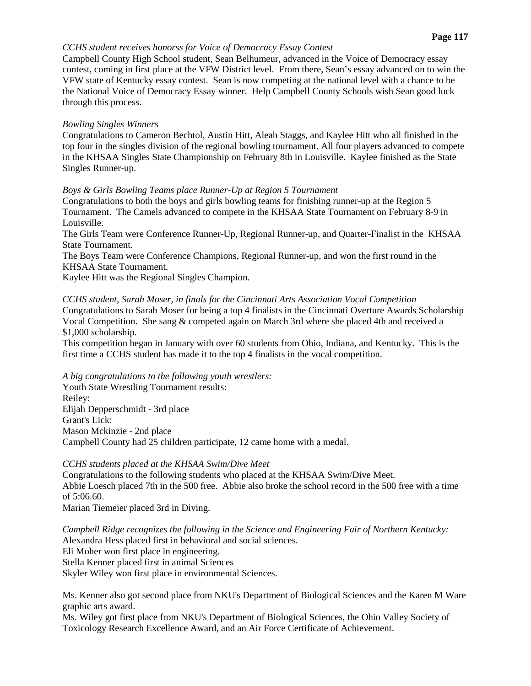## *CCHS student receives honorss for Voice of Democracy Essay Contest*

Campbell County High School student, Sean Belhumeur, advanced in the Voice of Democracy essay contest, coming in first place at the VFW District level. From there, Sean's essay advanced on to win the VFW state of Kentucky essay contest. Sean is now competing at the national level with a chance to be the National Voice of Democracy Essay winner. Help Campbell County Schools wish Sean good luck through this process.

# *Bowling Singles Winners*

Congratulations to Cameron Bechtol, Austin Hitt, Aleah Staggs, and Kaylee Hitt who all finished in the top four in the singles division of the regional bowling tournament. All four players advanced to compete in the KHSAA Singles State Championship on February 8th in Louisville. Kaylee finished as the State Singles Runner-up.

# *Boys & Girls Bowling Teams place Runner-Up at Region 5 Tournament*

Congratulations to both the boys and girls bowling teams for finishing runner-up at the Region 5 Tournament. The Camels advanced to compete in the KHSAA State Tournament on February 8-9 in Louisville.

The Girls Team were Conference Runner-Up, Regional Runner-up, and Quarter-Finalist in the KHSAA State Tournament.

The Boys Team were Conference Champions, Regional Runner-up, and won the first round in the KHSAA State Tournament.

Kaylee Hitt was the Regional Singles Champion.

# *CCHS student, Sarah Moser, in finals for the Cincinnati Arts Association Vocal Competition*

Congratulations to Sarah Moser for being a top 4 finalists in the Cincinnati Overture Awards Scholarship Vocal Competition. She sang & competed again on March 3rd where she placed 4th and received a \$1,000 scholarship.

This competition began in January with over 60 students from Ohio, Indiana, and Kentucky. This is the first time a CCHS student has made it to the top 4 finalists in the vocal competition.

*A big congratulations to the following youth wrestlers:*

Youth State Wrestling Tournament results: Reiley: Elijah Depperschmidt - 3rd place Grant's Lick: Mason Mckinzie - 2nd place Campbell County had 25 children participate, 12 came home with a medal.

# *CCHS students placed at the KHSAA Swim/Dive Meet*

Congratulations to the following students who placed at the KHSAA Swim/Dive Meet. Abbie Loesch placed 7th in the 500 free. Abbie also broke the school record in the 500 free with a time of 5:06.60.

Marian Tiemeier placed 3rd in Diving.

*Campbell Ridge recognizes the following in the Science and Engineering Fair of Northern Kentucky:* Alexandra Hess placed first in behavioral and social sciences. Eli Moher won first place in engineering.

Stella Kenner placed first in animal Sciences Skyler Wiley won first place in environmental Sciences.

Ms. Kenner also got second place from NKU's Department of Biological Sciences and the Karen M Ware graphic arts award.

Ms. Wiley got first place from NKU's Department of Biological Sciences, the Ohio Valley Society of Toxicology Research Excellence Award, and an Air Force Certificate of Achievement.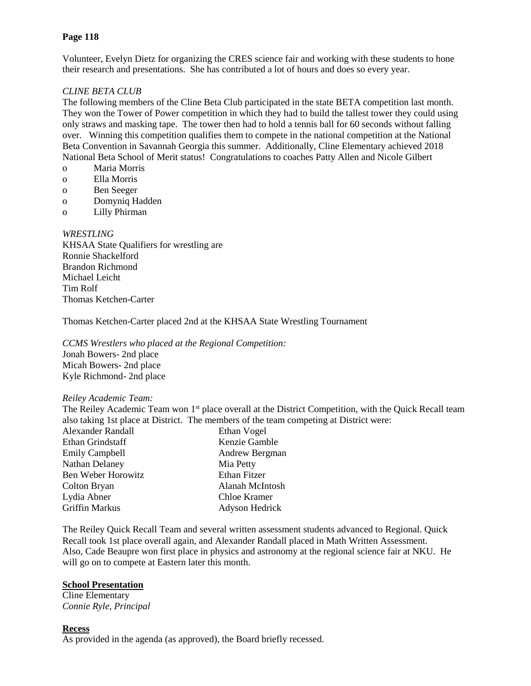### **Page 118**

Volunteer, Evelyn Dietz for organizing the CRES science fair and working with these students to hone their research and presentations. She has contributed a lot of hours and does so every year.

### *CLINE BETA CLUB*

The following members of the Cline Beta Club participated in the state BETA competition last month. They won the Tower of Power competition in which they had to build the tallest tower they could using only straws and masking tape. The tower then had to hold a tennis ball for 60 seconds without falling over. Winning this competition qualifies them to compete in the national competition at the National Beta Convention in Savannah Georgia this summer. Additionally, Cline Elementary achieved 2018 National Beta School of Merit status! Congratulations to coaches Patty Allen and Nicole Gilbert

- o Maria Morris
- o Ella Morris
- o Ben Seeger
- o Domyniq Hadden
- o Lilly Phirman

### *WRESTLING*

KHSAA State Qualifiers for wrestling are Ronnie Shackelford Brandon Richmond Michael Leicht Tim Rolf Thomas Ketchen-Carter

Thomas Ketchen-Carter placed 2nd at the KHSAA State Wrestling Tournament

*CCMS Wrestlers who placed at the Regional Competition:* Jonah Bowers- 2nd place Micah Bowers- 2nd place Kyle Richmond- 2nd place

### *Reiley Academic Team:*

The Reiley Academic Team won 1<sup>st</sup> place overall at the District Competition, with the Quick Recall team also taking 1st place at District. The members of the team competing at District were:

| <b>Alexander Randall</b> | Ethan Vogel     |
|--------------------------|-----------------|
| Ethan Grindstaff         | Kenzie Gamble   |
| <b>Emily Campbell</b>    | Andrew Bergman  |
| Nathan Delaney           | Mia Petty       |
| Ben Weber Horowitz       | Ethan Fitzer    |
| Colton Bryan             | Alanah McIntosh |
| Lydia Abner              | Chloe Kramer    |
| <b>Griffin Markus</b>    | Adyson Hedrick  |

The Reiley Quick Recall Team and several written assessment students advanced to Regional. Quick Recall took 1st place overall again, and Alexander Randall placed in Math Written Assessment. Also, Cade Beaupre won first place in physics and astronomy at the regional science fair at NKU. He will go on to compete at Eastern later this month.

### **School Presentation**

Cline Elementary *Connie Ryle, Principal*

### **Recess**

As provided in the agenda (as approved), the Board briefly recessed.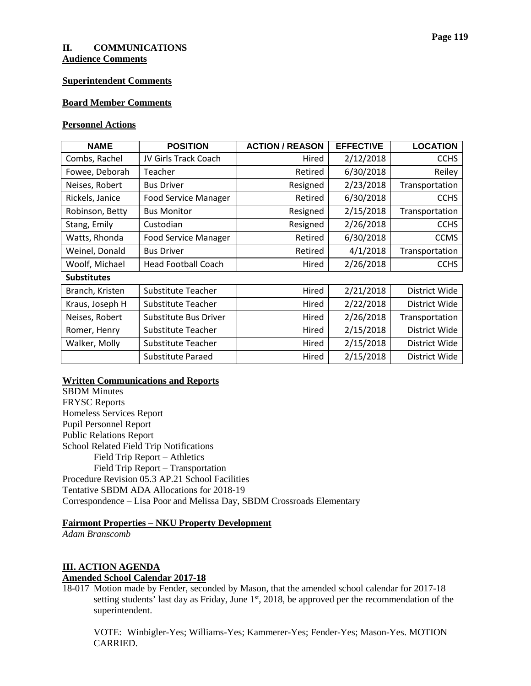# **II. COMMUNICATIONS**

**Audience Comments**

### **Superintendent Comments**

### **Board Member Comments**

## **Personnel Actions**

| <b>NAME</b>        | <b>POSITION</b>             | <b>ACTION / REASON</b> | <b>EFFECTIVE</b> | <b>LOCATION</b> |  |  |
|--------------------|-----------------------------|------------------------|------------------|-----------------|--|--|
| Combs, Rachel      | JV Girls Track Coach        | Hired                  | 2/12/2018        | <b>CCHS</b>     |  |  |
| Fowee, Deborah     | Teacher                     | Retired                | 6/30/2018        | Reiley          |  |  |
| Neises, Robert     | <b>Bus Driver</b>           | Resigned               | 2/23/2018        | Transportation  |  |  |
| Rickels, Janice    | <b>Food Service Manager</b> | Retired                | 6/30/2018        | <b>CCHS</b>     |  |  |
| Robinson, Betty    | <b>Bus Monitor</b>          | Resigned               | 2/15/2018        | Transportation  |  |  |
| Stang, Emily       | Custodian                   | Resigned               | 2/26/2018        | <b>CCHS</b>     |  |  |
| Watts, Rhonda      | <b>Food Service Manager</b> | Retired                | 6/30/2018        | <b>CCMS</b>     |  |  |
| Weinel, Donald     | <b>Bus Driver</b>           | Retired                | 4/1/2018         | Transportation  |  |  |
| Woolf, Michael     | <b>Head Football Coach</b>  | Hired                  | 2/26/2018        | <b>CCHS</b>     |  |  |
| <b>Substitutes</b> |                             |                        |                  |                 |  |  |
| Branch, Kristen    | Substitute Teacher          | Hired                  | 2/21/2018        | District Wide   |  |  |
| Kraus, Joseph H    | Substitute Teacher          | Hired                  | 2/22/2018        | District Wide   |  |  |
| Neises, Robert     | Substitute Bus Driver       | Hired                  | 2/26/2018        | Transportation  |  |  |
| Romer, Henry       | Substitute Teacher          | Hired                  | 2/15/2018        | District Wide   |  |  |
| Walker, Molly      | Substitute Teacher          | Hired                  | 2/15/2018        | District Wide   |  |  |
|                    | Substitute Paraed           | Hired                  | 2/15/2018        | District Wide   |  |  |

## **Written Communications and Reports**

SBDM Minutes FRYSC Reports Homeless Services Report Pupil Personnel Report Public Relations Report School Related Field Trip Notifications Field Trip Report – Athletics Field Trip Report – Transportation Procedure Revision 05.3 AP.21 School Facilities Tentative SBDM ADA Allocations for 2018-19 Correspondence – Lisa Poor and Melissa Day, SBDM Crossroads Elementary

### **Fairmont Properties – NKU Property Development**

*Adam Branscomb*

# **III. ACTION AGENDA Amended School Calendar 2017-18**

18-017 Motion made by Fender, seconded by Mason, that the amended school calendar for 2017-18 setting students' last day as Friday, June 1<sup>st</sup>, 2018, be approved per the recommendation of the superintendent.

VOTE: Winbigler-Yes; Williams-Yes; Kammerer-Yes; Fender-Yes; Mason-Yes. MOTION CARRIED.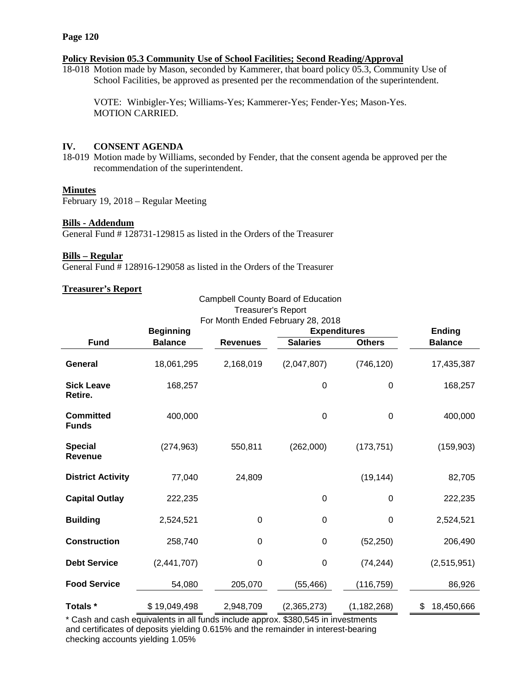## **Policy Revision 05.3 Community Use of School Facilities; Second Reading/Approval**

18-018 Motion made by Mason, seconded by Kammerer, that board policy 05.3, Community Use of School Facilities, be approved as presented per the recommendation of the superintendent.

VOTE: Winbigler-Yes; Williams-Yes; Kammerer-Yes; Fender-Yes; Mason-Yes. MOTION CARRIED.

## **IV. CONSENT AGENDA**

18-019 Motion made by Williams, seconded by Fender, that the consent agenda be approved per the recommendation of the superintendent.

## **Minutes**

February 19, 2018 – Regular Meeting

### **Bills - Addendum**

General Fund # 128731-129815 as listed in the Orders of the Treasurer

### **Bills – Regular**

General Fund # 128916-129058 as listed in the Orders of the Treasurer

## **Treasurer's Report**

| Treasurer's Report               |                  |                                                          |                  |               |                  |  |  |
|----------------------------------|------------------|----------------------------------------------------------|------------------|---------------|------------------|--|--|
|                                  | <b>Beginning</b> | For Month Ended February 28, 2018<br><b>Expenditures</b> |                  |               | Ending           |  |  |
| <b>Fund</b>                      | <b>Balance</b>   | <b>Revenues</b>                                          | <b>Salaries</b>  | <b>Others</b> | <b>Balance</b>   |  |  |
| <b>General</b>                   | 18,061,295       | 2,168,019                                                | (2,047,807)      | (746, 120)    | 17,435,387       |  |  |
| <b>Sick Leave</b><br>Retire.     | 168,257          |                                                          | $\pmb{0}$        | $\pmb{0}$     | 168,257          |  |  |
| <b>Committed</b><br><b>Funds</b> | 400,000          |                                                          | $\mathbf 0$      | 0             | 400,000          |  |  |
| <b>Special</b><br><b>Revenue</b> | (274, 963)       | 550,811                                                  | (262,000)        | (173, 751)    | (159, 903)       |  |  |
| <b>District Activity</b>         | 77,040           | 24,809                                                   |                  | (19, 144)     | 82,705           |  |  |
| <b>Capital Outlay</b>            | 222,235          |                                                          | 0                | 0             | 222,235          |  |  |
| <b>Building</b>                  | 2,524,521        | $\boldsymbol{0}$                                         | $\pmb{0}$        | 0             | 2,524,521        |  |  |
| <b>Construction</b>              | 258,740          | 0                                                        | $\pmb{0}$        | (52, 250)     | 206,490          |  |  |
| <b>Debt Service</b>              | (2,441,707)      | 0                                                        | $\boldsymbol{0}$ | (74, 244)     | (2,515,951)      |  |  |
| <b>Food Service</b>              | 54,080           | 205,070                                                  | (55, 466)        | (116,759)     | 86,926           |  |  |
| Totals *                         | \$19,049,498     | 2,948,709                                                | (2,365,273)      | (1, 182, 268) | \$<br>18,450,666 |  |  |

Campbell County Board of Education

\* Cash and cash equivalents in all funds include approx. \$380,545 in investments and certificates of deposits yielding 0.615% and the remainder in interest-bearing checking accounts yielding 1.05%